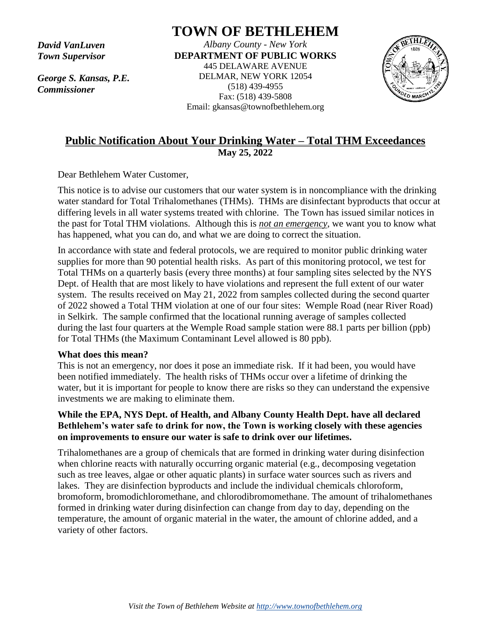*David VanLuven Town Supervisor*

*George S. Kansas, P.E. Commissioner*

# **TOWN OF BETHLEHEM**

*Albany County - New York* **DEPARTMENT OF PUBLIC WORKS** 445 DELAWARE AVENUE DELMAR, NEW YORK 12054 (518) 439-4955 Fax: (518) 439-5808 Email: gkansas@townofbethlehem.org



## **Public Notification About Your Drinking Water – Total THM Exceedances May 25, 2022**

Dear Bethlehem Water Customer,

This notice is to advise our customers that our water system is in noncompliance with the drinking water standard for Total Trihalomethanes (THMs). THMs are disinfectant byproducts that occur at differing levels in all water systems treated with chlorine. The Town has issued similar notices in the past for Total THM violations. Although this is *not an emergency*, we want you to know what has happened, what you can do, and what we are doing to correct the situation.

In accordance with state and federal protocols, we are required to monitor public drinking water supplies for more than 90 potential health risks. As part of this monitoring protocol, we test for Total THMs on a quarterly basis (every three months) at four sampling sites selected by the NYS Dept. of Health that are most likely to have violations and represent the full extent of our water system. The results received on May 21, 2022 from samples collected during the second quarter of 2022 showed a Total THM violation at one of our four sites: Wemple Road (near River Road) in Selkirk. The sample confirmed that the locational running average of samples collected during the last four quarters at the Wemple Road sample station were 88.1 parts per billion (ppb) for Total THMs (the Maximum Contaminant Level allowed is 80 ppb).

#### **What does this mean?**

This is not an emergency, nor does it pose an immediate risk. If it had been, you would have been notified immediately. The health risks of THMs occur over a lifetime of drinking the water, but it is important for people to know there are risks so they can understand the expensive investments we are making to eliminate them.

### **While the EPA, NYS Dept. of Health, and Albany County Health Dept. have all declared Bethlehem's water safe to drink for now, the Town is working closely with these agencies on improvements to ensure our water is safe to drink over our lifetimes.**

Trihalomethanes are a group of chemicals that are formed in drinking water during disinfection when chlorine reacts with naturally occurring organic material (e.g., decomposing vegetation such as tree leaves, algae or other aquatic plants) in surface water sources such as rivers and lakes. They are disinfection byproducts and include the individual chemicals chloroform, bromoform, bromodichloromethane, and chlorodibromomethane. The amount of trihalomethanes formed in drinking water during disinfection can change from day to day, depending on the temperature, the amount of organic material in the water, the amount of chlorine added, and a variety of other factors.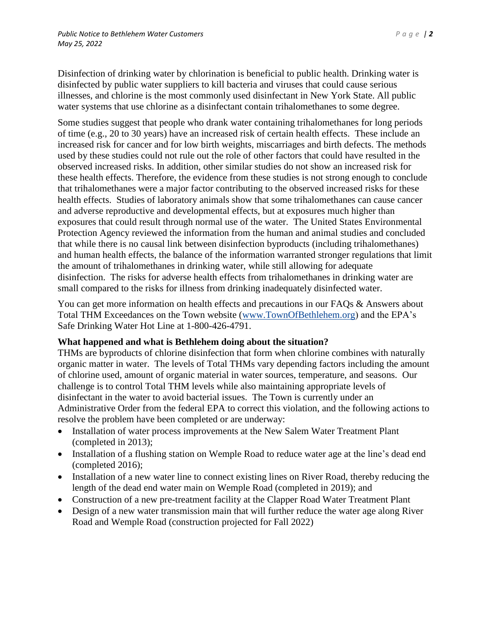Disinfection of drinking water by chlorination is beneficial to public health. Drinking water is disinfected by public water suppliers to kill bacteria and viruses that could cause serious illnesses, and chlorine is the most commonly used disinfectant in New York State. All public water systems that use chlorine as a disinfectant contain trihalomethanes to some degree.

Some studies suggest that people who drank water containing trihalomethanes for long periods of time (e.g., 20 to 30 years) have an increased risk of certain health effects. These include an increased risk for cancer and for low birth weights, miscarriages and birth defects. The methods used by these studies could not rule out the role of other factors that could have resulted in the observed increased risks. In addition, other similar studies do not show an increased risk for these health effects. Therefore, the evidence from these studies is not strong enough to conclude that trihalomethanes were a major factor contributing to the observed increased risks for these health effects. Studies of laboratory animals show that some trihalomethanes can cause cancer and adverse reproductive and developmental effects, but at exposures much higher than exposures that could result through normal use of the water. The United States Environmental Protection Agency reviewed the information from the human and animal studies and concluded that while there is no causal link between disinfection byproducts (including trihalomethanes) and human health effects, the balance of the information warranted stronger regulations that limit the amount of trihalomethanes in drinking water, while still allowing for adequate disinfection. The risks for adverse health effects from trihalomethanes in drinking water are small compared to the risks for illness from drinking inadequately disinfected water.

You can get more information on health effects and precautions in our FAQs & Answers about Total THM Exceedances on the Town website [\(www.TownOfBethlehem.org\)](http://www.townofbethlehem.org/) and the EPA's Safe Drinking Water Hot Line at 1-800-426-4791.

#### **What happened and what is Bethlehem doing about the situation?**

THMs are byproducts of chlorine disinfection that form when chlorine combines with naturally organic matter in water. The levels of Total THMs vary depending factors including the amount of chlorine used, amount of organic material in water sources, temperature, and seasons. Our challenge is to control Total THM levels while also maintaining appropriate levels of disinfectant in the water to avoid bacterial issues. The Town is currently under an Administrative Order from the federal EPA to correct this violation, and the following actions to resolve the problem have been completed or are underway:

- Installation of water process improvements at the New Salem Water Treatment Plant (completed in 2013);
- Installation of a flushing station on Wemple Road to reduce water age at the line's dead end (completed 2016);
- Installation of a new water line to connect existing lines on River Road, thereby reducing the length of the dead end water main on Wemple Road (completed in 2019); and
- Construction of a new pre-treatment facility at the Clapper Road Water Treatment Plant
- Design of a new water transmission main that will further reduce the water age along River Road and Wemple Road (construction projected for Fall 2022)